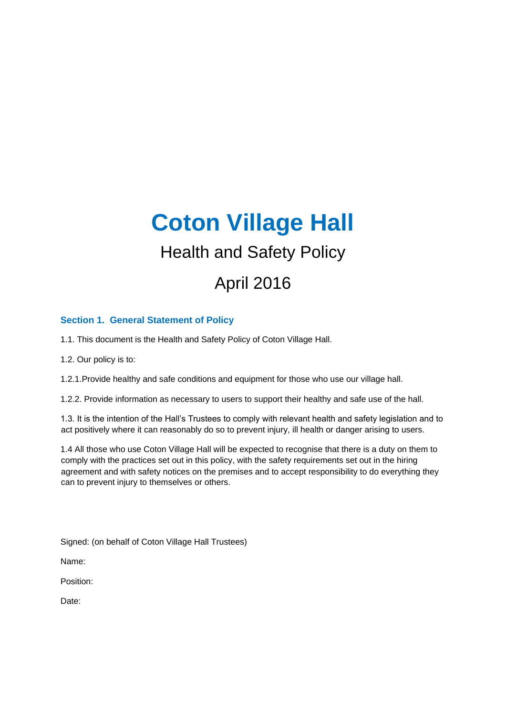# **Coton Village Hall**  Health and Safety Policy April 2016

# **Section 1. General Statement of Policy**

1.1. This document is the Health and Safety Policy of Coton Village Hall.

1.2. Our policy is to:

1.2.1.Provide healthy and safe conditions and equipment for those who use our village hall.

1.2.2. Provide information as necessary to users to support their healthy and safe use of the hall.

1.3. It is the intention of the Hall's Trustees to comply with relevant health and safety legislation and to act positively where it can reasonably do so to prevent injury, ill health or danger arising to users.

1.4 All those who use Coton Village Hall will be expected to recognise that there is a duty on them to comply with the practices set out in this policy, with the safety requirements set out in the hiring agreement and with safety notices on the premises and to accept responsibility to do everything they can to prevent injury to themselves or others.

Signed: (on behalf of Coton Village Hall Trustees)

Name:

Position:

Date: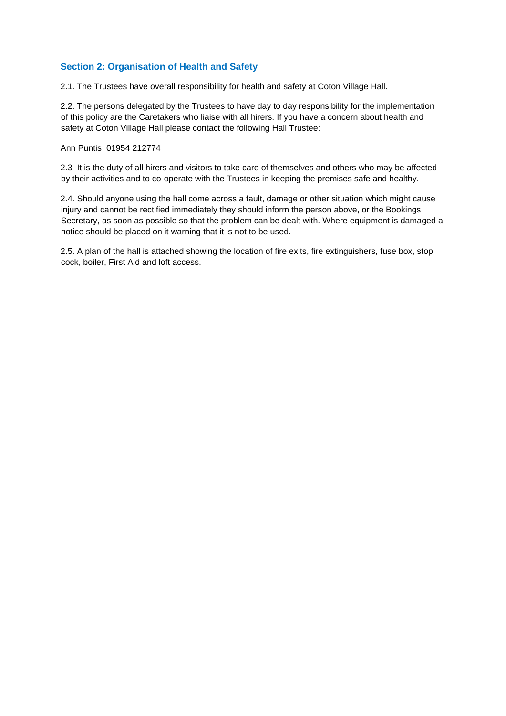# **Section 2: Organisation of Health and Safety**

2.1. The Trustees have overall responsibility for health and safety at Coton Village Hall.

2.2. The persons delegated by the Trustees to have day to day responsibility for the implementation of this policy are the Caretakers who liaise with all hirers. If you have a concern about health and safety at Coton Village Hall please contact the following Hall Trustee:

#### Ann Puntis 01954 212774

2.3 It is the duty of all hirers and visitors to take care of themselves and others who may be affected by their activities and to co-operate with the Trustees in keeping the premises safe and healthy.

2.4. Should anyone using the hall come across a fault, damage or other situation which might cause injury and cannot be rectified immediately they should inform the person above, or the Bookings Secretary, as soon as possible so that the problem can be dealt with. Where equipment is damaged a notice should be placed on it warning that it is not to be used.

2.5. A plan of the hall is attached showing the location of fire exits, fire extinguishers, fuse box, stop cock, boiler, First Aid and loft access.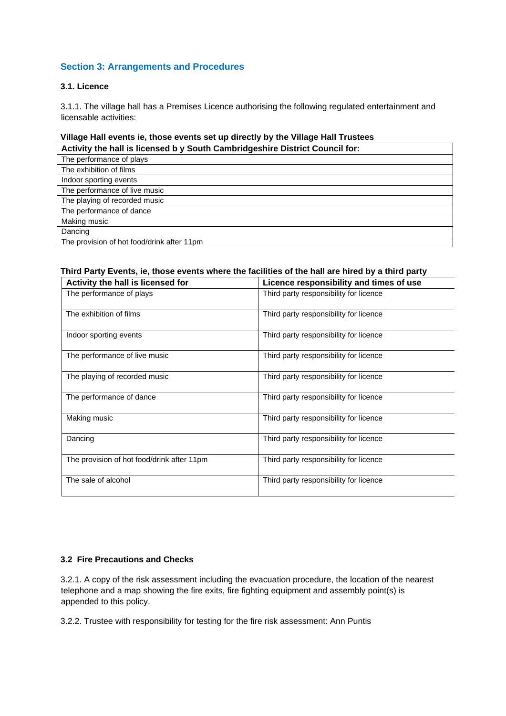# **Section 3: Arrangements and Procedures**

#### **3.1. Licence**

3.1.1. The village hall has a Premises Licence authorising the following regulated entertainment and licensable activities:

# **Village Hall events ie, those events set up directly by the Village Hall Trustees**

| Activity the hall is licensed by South Cambridgeshire District Council for: |
|-----------------------------------------------------------------------------|
| The performance of plays                                                    |
| The exhibition of films                                                     |
| Indoor sporting events                                                      |
| The performance of live music                                               |
| The playing of recorded music                                               |
| The performance of dance                                                    |
| Making music                                                                |
| Dancing                                                                     |
| The provision of hot food/drink after 11pm                                  |

#### **Third Party Events, ie, those events where the facilities of the hall are hired by a third party**

| Activity the hall is licensed for          | Licence responsibility and times of use |
|--------------------------------------------|-----------------------------------------|
| The performance of plays                   | Third party responsibility for licence  |
| The exhibition of films                    | Third party responsibility for licence  |
| Indoor sporting events                     | Third party responsibility for licence  |
| The performance of live music              | Third party responsibility for licence  |
| The playing of recorded music              | Third party responsibility for licence  |
| The performance of dance                   | Third party responsibility for licence  |
| Making music                               | Third party responsibility for licence  |
| Dancing                                    | Third party responsibility for licence  |
| The provision of hot food/drink after 11pm | Third party responsibility for licence  |
| The sale of alcohol                        | Third party responsibility for licence  |

#### **3.2 Fire Precautions and Checks**

3.2.1. A copy of the risk assessment including the evacuation procedure, the location of the nearest telephone and a map showing the fire exits, fire fighting equipment and assembly point(s) is appended to this policy.

3.2.2. Trustee with responsibility for testing for the fire risk assessment: Ann Puntis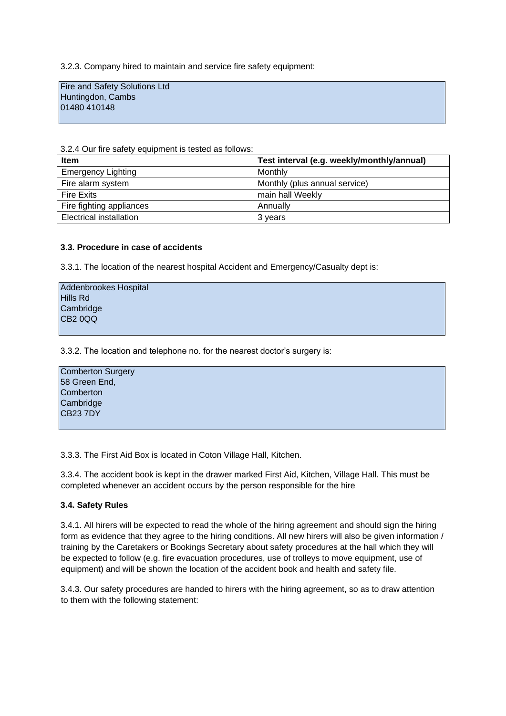3.2.3. Company hired to maintain and service fire safety equipment:

Fire and Safety Solutions Ltd Huntingdon, Cambs 01480 410148

3.2.4 Our fire safety equipment is tested as follows:

| <b>Item</b>               | Test interval (e.g. weekly/monthly/annual) |
|---------------------------|--------------------------------------------|
| <b>Emergency Lighting</b> | Monthly                                    |
| Fire alarm system         | Monthly (plus annual service)              |
| <b>Fire Exits</b>         | main hall Weekly                           |
| Fire fighting appliances  | Annually                                   |
| Electrical installation   | 3 years                                    |

#### **3.3. Procedure in case of accidents**

3.3.1. The location of the nearest hospital Accident and Emergency/Casualty dept is:

| Addenbrookes Hospital |  |
|-----------------------|--|
| Hills Rd              |  |
| Cambridge             |  |
| CB <sub>2</sub> 0QQ   |  |
|                       |  |

3.3.2. The location and telephone no. for the nearest doctor's surgery is:

| <b>Comberton Surgery</b> |  |
|--------------------------|--|
| 58 Green End,            |  |
| Comberton                |  |
| Cambridge                |  |
| <b>CB23 7DY</b>          |  |
|                          |  |

3.3.3. The First Aid Box is located in Coton Village Hall, Kitchen.

3.3.4. The accident book is kept in the drawer marked First Aid, Kitchen, Village Hall. This must be completed whenever an accident occurs by the person responsible for the hire

#### **3.4. Safety Rules**

3.4.1. All hirers will be expected to read the whole of the hiring agreement and should sign the hiring form as evidence that they agree to the hiring conditions. All new hirers will also be given information / training by the Caretakers or Bookings Secretary about safety procedures at the hall which they will be expected to follow (e.g. fire evacuation procedures, use of trolleys to move equipment, use of equipment) and will be shown the location of the accident book and health and safety file.

3.4.3. Our safety procedures are handed to hirers with the hiring agreement, so as to draw attention to them with the following statement: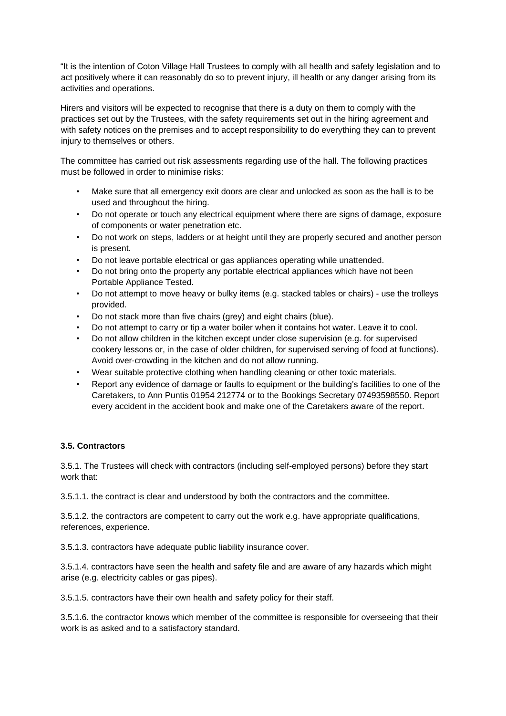"It is the intention of Coton Village Hall Trustees to comply with all health and safety legislation and to act positively where it can reasonably do so to prevent injury, ill health or any danger arising from its activities and operations.

Hirers and visitors will be expected to recognise that there is a duty on them to comply with the practices set out by the Trustees, with the safety requirements set out in the hiring agreement and with safety notices on the premises and to accept responsibility to do everything they can to prevent injury to themselves or others.

The committee has carried out risk assessments regarding use of the hall. The following practices must be followed in order to minimise risks:

- Make sure that all emergency exit doors are clear and unlocked as soon as the hall is to be used and throughout the hiring.
- Do not operate or touch any electrical equipment where there are signs of damage, exposure of components or water penetration etc.
- Do not work on steps, ladders or at height until they are properly secured and another person is present.
- Do not leave portable electrical or gas appliances operating while unattended.
- Do not bring onto the property any portable electrical appliances which have not been Portable Appliance Tested.
- Do not attempt to move heavy or bulky items (e.g. stacked tables or chairs) use the trolleys provided.
- Do not stack more than five chairs (grey) and eight chairs (blue).
- Do not attempt to carry or tip a water boiler when it contains hot water. Leave it to cool.
- Do not allow children in the kitchen except under close supervision (e.g. for supervised cookery lessons or, in the case of older children, for supervised serving of food at functions). Avoid over-crowding in the kitchen and do not allow running.
- Wear suitable protective clothing when handling cleaning or other toxic materials.
- Report any evidence of damage or faults to equipment or the building's facilities to one of the Caretakers, to Ann Puntis 01954 212774 or to the Bookings Secretary 07493598550. Report every accident in the accident book and make one of the Caretakers aware of the report.

#### **3.5. Contractors**

3.5.1. The Trustees will check with contractors (including self-employed persons) before they start work that:

3.5.1.1. the contract is clear and understood by both the contractors and the committee.

3.5.1.2. the contractors are competent to carry out the work e.g. have appropriate qualifications, references, experience.

3.5.1.3. contractors have adequate public liability insurance cover.

3.5.1.4. contractors have seen the health and safety file and are aware of any hazards which might arise (e.g. electricity cables or gas pipes).

3.5.1.5. contractors have their own health and safety policy for their staff.

3.5.1.6. the contractor knows which member of the committee is responsible for overseeing that their work is as asked and to a satisfactory standard.